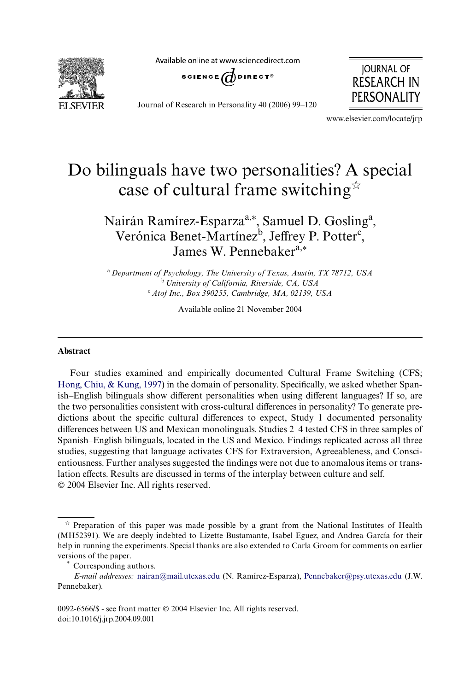**EI SEVIER** 

Available online at www.sciencedirect.com





Journal of Research in Personality 40 (2006) 99–120

www.elsevier.com/locate/jrp

# Do bilinguals have two personalities? A special case of cultural frame switching $\dot{x}$

# Nairán Ramírez-Esparza<sup>a,\*</sup>, Samuel D. Gosling<sup>a</sup>, Verónica Benet-Martínez<sup>b</sup>, Jeffrey P. Potter<sup>c</sup>, James W. Pennebaker<sup>a,\*</sup>

<sup>a</sup>*Department of Psychology, The University of Texas, Austin, TX 78712, USA* <sup>b</sup>*University of California, Riverside, CA, USA* <sup>c</sup>*Atof Inc., Box 390255, Cambridge, MA, 02139, USA*

Available online 21 November 2004

# **Abstract**

Four studies examined and empirically documented Cultural Frame Switching (CFS; Hong, Chiu,  $\&$  Kung, 1997) in the domain of personality. Specifically, we asked whether Spanish–English bilinguals show different personalities when using different languages? If so, are the two personalities consistent with cross-cultural differences in personality? To generate predictions about the specific cultural differences to expect, Study 1 documented personality differences between US and Mexican monolinguals. Studies 2–4 tested CFS in three samples of Spanish–English bilinguals, located in the US and Mexico. Findings replicated across all three studies, suggesting that language activates CFS for Extraversion, Agreeableness, and Conscientiousness. Further analyses suggested the findings were not due to anomalous items or translation effects. Results are discussed in terms of the interplay between culture and self. © 2004 Elsevier Inc. All rights reserved.

 $*$  Preparation of this paper was made possible by a grant from the National Institutes of Health (MH52391). We are deeply indebted to Lizette Bustamante, Isabel Eguez, and Andrea García for their help in running the experiments. Special thanks are also extended to Carla Groom for comments on earlier versions of the paper.

Corresponding authors.

*E-mail addresses:* [nairan@mail.utexas.edu](mailto: nairan@mail.utexas.edu) (N. Ramírez-Esparza), [Pennebaker@psy.utexas.edu](mailto: Pennebaker@psy.utexas.edu) (J.W. Pennebaker).

<sup>0092-6566/\$ -</sup> see front matter © 2004 Elsevier Inc. All rights reserved. doi:10.1016/j.jrp.2004.09.001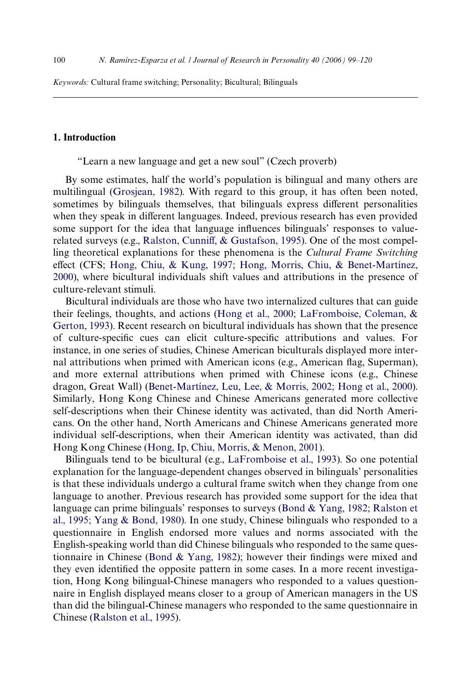*Keywords:* Cultural frame switching; Personality; Bicultural; Bilinguals

# **1. Introduction**

"Learn a new language and get a new soul" (Czech proverb)

By some estimates, half the world's population is bilingual and many others are multilingual [\(Grosjean, 1982](#page-20-1)). With regard to this group, it has often been noted, sometimes by bilinguals themselves, that bilinguals express different personalities when they speak in different languages. Indeed, previous research has even provided some support for the idea that language influences bilinguals' responses to value-related surveys (e.g., [Ralston, Cunni](#page-21-0)ff,  $\&$  Gustafson, 1995). One of the most compelling theoretical explanations for these phenomena is the *Cultural Frame Switching* effect (CFS; [Hong, Chiu, & Kung, 1997;](#page-20-0) [Hong, Morris, Chiu, & Benet-Martínez,](#page-20-2) [2000](#page-20-2)), where bicultural individuals shift values and attributions in the presence of culture-relevant stimuli.

Bicultural individuals are those who have two internalized cultures that can guide their feelings, thoughts, and actions ([Hong et al., 2000; LaFromboise, Coleman, &](#page-20-2) [Gerton, 1993\)](#page-20-2). Recent research on bicultural individuals has shown that the presence of culture-specific cues can elicit culture-specific attributions and values. For instance, in one series of studies, Chinese American biculturals displayed more internal attributions when primed with American icons (e.g., American flag, Superman), and more external attributions when primed with Chinese icons (e.g., Chinese dragon, Great Wall) [\(Benet-Martínez, Leu, Lee, & Morris, 2002; Hong et al., 2000\)](#page-19-0). Similarly, Hong Kong Chinese and Chinese Americans generated more collective self-descriptions when their Chinese identity was activated, than did North Americans. On the other hand, North Americans and Chinese Americans generated more individual self-descriptions, when their American identity was activated, than did Hong Kong Chinese [\(Hong, Ip, Chiu, Morris, & Menon, 2001\)](#page-20-3).

Bilinguals tend to be bicultural (e.g., [LaFromboise et al., 1993](#page-20-4)). So one potential explanation for the language-dependent changes observed in bilinguals' personalities is that these individuals undergo a cultural frame switch when they change from one language to another. Previous research has provided some support for the idea that language can prime bilinguals' responses to surveys [\(Bond & Yang, 1982; Ralston et](#page-19-1) [al., 1995; Yang & Bond, 1980\)](#page-19-1). In one study, Chinese bilinguals who responded to a questionnaire in English endorsed more values and norms associated with the English-speaking world than did Chinese bilinguals who responded to the same ques-tionnaire in Chinese [\(Bond & Yang, 1982](#page-19-1)); however their findings were mixed and they even identified the opposite pattern in some cases. In a more recent investigation, Hong Kong bilingual-Chinese managers who responded to a values questionnaire in English displayed means closer to a group of American managers in the US than did the bilingual-Chinese managers who responded to the same questionnaire in Chinese ([Ralston et al., 1995](#page-21-0)).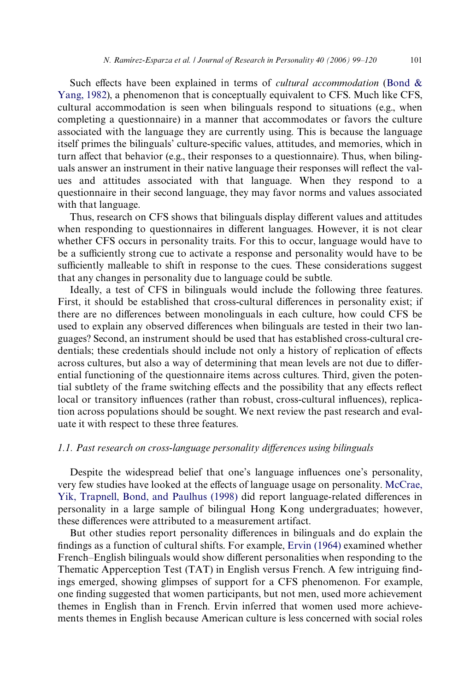Such effects have been explained in terms of *cultural accommodation* [\(Bond &](#page-19-1) [Yang, 1982\)](#page-19-1), a phenomenon that is conceptually equivalent to CFS. Much like CFS, cultural accommodation is seen when bilinguals respond to situations (e.g., when completing a questionnaire) in a manner that accommodates or favors the culture associated with the language they are currently using. This is because the language itself primes the bilinguals' culture-specific values, attitudes, and memories, which in turn affect that behavior (e.g., their responses to a questionnaire). Thus, when bilinguals answer an instrument in their native language their responses will reflect the values and attitudes associated with that language. When they respond to a questionnaire in their second language, they may favor norms and values associated with that language.

Thus, research on CFS shows that bilinguals display different values and attitudes when responding to questionnaires in different languages. However, it is not clear whether CFS occurs in personality traits. For this to occur, language would have to be a sufficiently strong cue to activate a response and personality would have to be sufficiently malleable to shift in response to the cues. These considerations suggest that any changes in personality due to language could be subtle.

Ideally, a test of CFS in bilinguals would include the following three features. First, it should be established that cross-cultural differences in personality exist; if there are no differences between monolinguals in each culture, how could CFS be used to explain any observed differences when bilinguals are tested in their two languages? Second, an instrument should be used that has established cross-cultural credentials; these credentials should include not only a history of replication of effects across cultures, but also a way of determining that mean levels are not due to differential functioning of the questionnaire items across cultures. Third, given the potential subtlety of the frame switching effects and the possibility that any effects reflect local or transitory influences (rather than robust, cross-cultural influences), replication across populations should be sought. We next review the past research and evaluate it with respect to these three features.

# *1.1. Past research on cross-language personality differences using bilinguals*

Despite the widespread belief that one's language influences one's personality, very few studies have looked at the effects of language usage on personality. [McCrae,](#page-21-1) [Yik, Trapnell, Bond, and Paulhus \(1998\)](#page-21-1) did report language-related differences in personality in a large sample of bilingual Hong Kong undergraduates; however, these differences were attributed to a measurement artifact.

But other studies report personality differences in bilinguals and do explain the findings as a function of cultural shifts. For example, Ervin  $(1964)$  examined whether French–English bilinguals would show different personalities when responding to the Thematic Apperception Test (TAT) in English versus French. A few intriguing findings emerged, showing glimpses of support for a CFS phenomenon. For example, one finding suggested that women participants, but not men, used more achievement themes in English than in French. Ervin inferred that women used more achievements themes in English because American culture is less concerned with social roles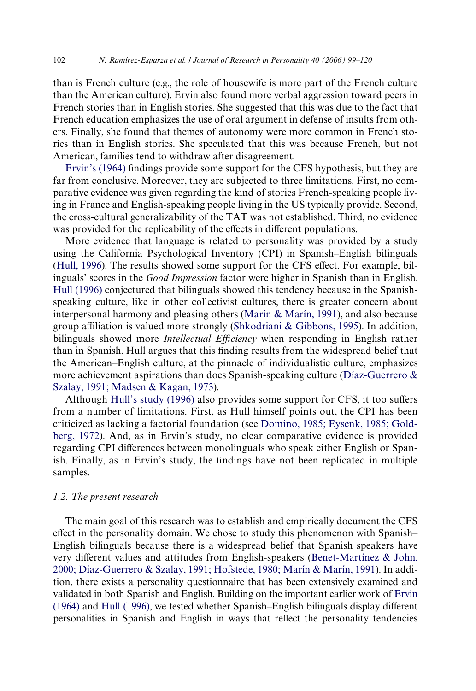than is French culture (e.g., the role of housewife is more part of the French culture than the American culture). Ervin also found more verbal aggression toward peers in French stories than in English stories. She suggested that this was due to the fact that French education emphasizes the use of oral argument in defense of insults from others. Finally, she found that themes of autonomy were more common in French stories than in English stories. She speculated that this was because French, but not American, families tend to withdraw after disagreement.

[Ervin's \(1964\)](#page-20-5) findings provide some support for the CFS hypothesis, but they are far from conclusive. Moreover, they are subjected to three limitations. First, no comparative evidence was given regarding the kind of stories French-speaking people living in France and English-speaking people living in the US typically provide. Second, the cross-cultural generalizability of the TAT was not established. Third, no evidence was provided for the replicability of the effects in different populations.

More evidence that language is related to personality was provided by a study using the California Psychological Inventory (CPI) in Spanish–English bilinguals [\(Hull, 1996\)](#page-20-6). The results showed some support for the CFS effect. For example, bilinguals' scores in the *Good Impression* factor were higher in Spanish than in English. [Hull \(1996\)](#page-20-6) conjectured that bilinguals showed this tendency because in the Spanishspeaking culture, like in other collectivist cultures, there is greater concern about interpersonal harmony and pleasing others [\(Marín & Marín, 1991\)](#page-20-7), and also because group affiliation is valued more strongly ([Shkodriani & Gibbons, 1995\)](#page-21-2). In addition, bilinguals showed more *Intellectual EYciency* when responding in English rather than in Spanish. Hull argues that this finding results from the widespread belief that the American–English culture, at the pinnacle of individualistic culture, emphasizes more achievement aspirations than does Spanish-speaking culture ([Díaz-Guerrero &](#page-19-2) [Szalay, 1991; Madsen & Kagan, 1973](#page-19-2)).

Although [Hull's study \(1996\)](#page-20-6) also provides some support for CFS, it too suffers from a number of limitations. First, as Hull himself points out, the CPI has been criticized as lacking a factorial foundation (see [Domino, 1985; Eysenk, 1985; Gold](#page-19-3)[berg, 1972\)](#page-19-3). And, as in Ervin's study, no clear comparative evidence is provided regarding CPI differences between monolinguals who speak either English or Spanish. Finally, as in Ervin's study, the findings have not been replicated in multiple samples.

# *1.2. The present research*

The main goal of this research was to establish and empirically document the CFS effect in the personality domain. We chose to study this phenomenon with Spanish– English bilinguals because there is a widespread belief that Spanish speakers have very different values and attitudes from English-speakers [\(Benet-Martínez & John,](#page-19-4) [2000; Díaz-Guerrero & Szalay, 1991; Hofstede, 1980; Marín & Marín, 1991](#page-19-4)). In addition, there exists a personality questionnaire that has been extensively examined and validated in both Spanish and English. Building on the important earlier work of [Ervin](#page-20-5)  $(1964)$  and Hull  $(1996)$ , we tested whether Spanish–English bilinguals display different personalities in Spanish and English in ways that reflect the personality tendencies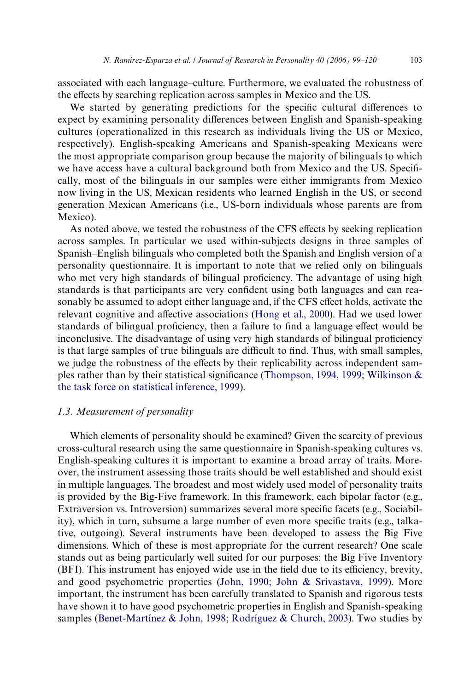associated with each language–culture. Furthermore, we evaluated the robustness of the effects by searching replication across samples in Mexico and the US.

We started by generating predictions for the specific cultural differences to expect by examining personality differences between English and Spanish-speaking cultures (operationalized in this research as individuals living the US or Mexico, respectively). English-speaking Americans and Spanish-speaking Mexicans were the most appropriate comparison group because the majority of bilinguals to which we have access have a cultural background both from Mexico and the US. Specifically, most of the bilinguals in our samples were either immigrants from Mexico now living in the US, Mexican residents who learned English in the US, or second generation Mexican Americans (i.e., US-born individuals whose parents are from Mexico).

As noted above, we tested the robustness of the CFS effects by seeking replication across samples. In particular we used within-subjects designs in three samples of Spanish–English bilinguals who completed both the Spanish and English version of a personality questionnaire. It is important to note that we relied only on bilinguals who met very high standards of bilingual proficiency. The advantage of using high standards is that participants are very confident using both languages and can reasonably be assumed to adopt either language and, if the CFS effect holds, activate the relevant cognitive and affective associations ([Hong et al., 2000](#page-20-2)). Had we used lower standards of bilingual proficiency, then a failure to find a language effect would be inconclusive. The disadvantage of using very high standards of bilingual proficiency is that large samples of true bilinguals are difficult to find. Thus, with small samples, we judge the robustness of the effects by their replicability across independent sam-ples rather than by their statistical significance ([Thompson, 1994, 1999;](#page-21-3) Wilkinson  $\&$ [the task force on statistical inference, 1999\)](#page-21-4).

#### *1.3. Measurement of personality*

Which elements of personality should be examined? Given the scarcity of previous cross-cultural research using the same questionnaire in Spanish-speaking cultures vs. English-speaking cultures it is important to examine a broad array of traits. Moreover, the instrument assessing those traits should be well established and should exist in multiple languages. The broadest and most widely used model of personality traits is provided by the Big-Five framework. In this framework, each bipolar factor (e.g., Extraversion vs. Introversion) summarizes several more specific facets (e.g., Sociability), which in turn, subsume a large number of even more specific traits (e.g., talkative, outgoing). Several instruments have been developed to assess the Big Five dimensions. Which of these is most appropriate for the current research? One scale stands out as being particularly well suited for our purposes: the Big Five Inventory (BFI). This instrument has enjoyed wide use in the field due to its efficiency, brevity, and good psychometric properties [\(John, 1990; John & Srivastava, 1999\)](#page-20-8). More important, the instrument has been carefully translated to Spanish and rigorous tests have shown it to have good psychometric properties in English and Spanish-speaking samples [\(Benet-Martínez & John, 1998; Rodríguez & Church, 2003\)](#page-19-5). Two studies by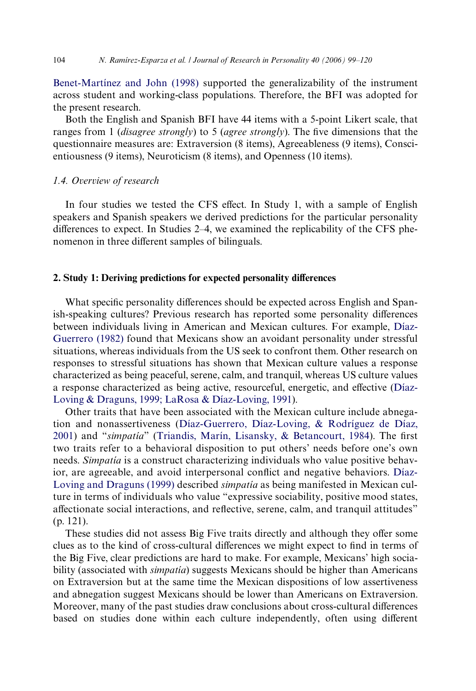[Benet-Martínez and John \(1998\)](#page-19-5) supported the generalizability of the instrument across student and working-class populations. Therefore, the BFI was adopted for the present research.

Both the English and Spanish BFI have 44 items with a 5-point Likert scale, that ranges from 1 *(disagree strongly)* to 5 *(agree strongly)*. The five dimensions that the questionnaire measures are: Extraversion (8 items), Agreeableness (9 items), Conscientiousness (9 items), Neuroticism (8 items), and Openness (10 items).

#### *1.4. Overview of research*

In four studies we tested the CFS effect. In Study 1, with a sample of English speakers and Spanish speakers we derived predictions for the particular personality differences to expect. In Studies  $2-4$ , we examined the replicability of the CFS phenomenon in three different samples of bilinguals.

# **2. Study 1: Deriving predictions for expected personality differences**

What specific personality differences should be expected across English and Spanish-speaking cultures? Previous research has reported some personality differences between individuals living in American and Mexican cultures. For example, [Díaz-](#page-19-6)[Guerrero \(1982\)](#page-19-6) found that Mexicans show an avoidant personality under stressful situations, whereas individuals from the US seek to confront them. Other research on responses to stressful situations has shown that Mexican culture values a response characterized as being peaceful, serene, calm, and tranquil, whereas US culture values a response characterized as being active, resourceful, energetic, and effective [\(Díaz-](#page-19-7)[Loving & Draguns, 1999; LaRosa & Díaz-Loving, 1991](#page-19-7)).

Other traits that have been associated with the Mexican culture include abnegation and nonassertiveness ([Díaz-Guerrero, Díaz-Loving, & Rodríguez de Díaz,](#page-19-8) [2001](#page-19-8)) and "*simpatia*" [\(Triandis, Marín, Lisansky, & Betancourt, 1984](#page-21-5)). The first two traits refer to a behavioral disposition to put others' needs before one's own needs. *Simpatía* is a construct characterizing individuals who value positive behav-ior, are agreeable, and avoid interpersonal conflict and negative behaviors. [Díaz-](#page-19-7)[Loving and Draguns \(1999\)](#page-19-7) described *simpatía* as being manifested in Mexican culture in terms of individuals who value "expressive sociability, positive mood states, affectionate social interactions, and reflective, serene, calm, and tranquil attitudes" (p. 121).

These studies did not assess Big Five traits directly and although they offer some clues as to the kind of cross-cultural differences we might expect to find in terms of the Big Five, clear predictions are hard to make. For example, Mexicans' high sociability (associated with *simpatía*) suggests Mexicans should be higher than Americans on Extraversion but at the same time the Mexican dispositions of low assertiveness and abnegation suggest Mexicans should be lower than Americans on Extraversion. Moreover, many of the past studies draw conclusions about cross-cultural differences based on studies done within each culture independently, often using different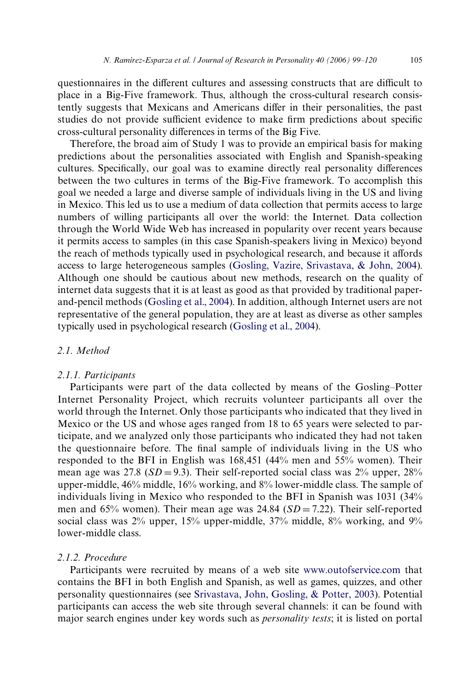questionnaires in the different cultures and assessing constructs that are difficult to place in a Big-Five framework. Thus, although the cross-cultural research consistently suggests that Mexicans and Americans differ in their personalities, the past studies do not provide sufficient evidence to make firm predictions about specific cross-cultural personality differences in terms of the Big Five.

Therefore, the broad aim of Study 1 was to provide an empirical basis for making predictions about the personalities associated with English and Spanish-speaking cultures. Specifically, our goal was to examine directly real personality differences between the two cultures in terms of the Big-Five framework. To accomplish this goal we needed a large and diverse sample of individuals living in the US and living in Mexico. This led us to use a medium of data collection that permits access to large numbers of willing participants all over the world: the Internet. Data collection through the World Wide Web has increased in popularity over recent years because it permits access to samples (in this case Spanish-speakers living in Mexico) beyond the reach of methods typically used in psychological research, and because it affords access to large heterogeneous samples ([Gosling, Vazire, Srivastava, & John, 2004](#page-20-9)). Although one should be cautious about new methods, research on the quality of internet data suggests that it is at least as good as that provided by traditional paperand-pencil methods [\(Gosling et al., 2004](#page-20-9)). In addition, although Internet users are not representative of the general population, they are at least as diverse as other samples typically used in psychological research [\(Gosling et al., 2004\)](#page-20-9).

# *2.1. Method*

#### *2.1.1. Participants*

Participants were part of the data collected by means of the Gosling–Potter Internet Personality Project, which recruits volunteer participants all over the world through the Internet. Only those participants who indicated that they lived in Mexico or the US and whose ages ranged from 18 to 65 years were selected to participate, and we analyzed only those participants who indicated they had not taken the questionnaire before. The final sample of individuals living in the US who responded to the BFI in English was 168,451 (44% men and 55% women). Their mean age was 27.8 ( $SD = 9.3$ ). Their self-reported social class was 2% upper, 28% upper-middle, 46% middle, 16% working, and 8% lower-middle class. The sample of individuals living in Mexico who responded to the BFI in Spanish was 1031 (34% men and  $65\%$  women). Their mean age was 24.84 ( $SD = 7.22$ ). Their self-reported social class was 2% upper, 15% upper-middle, 37% middle, 8% working, and 9% lower-middle class.

#### *2.1.2. Procedure*

Participants were recruited by means of a web site [www.outofservice.com](http://www.outofservice.com) that contains the BFI in both English and Spanish, as well as games, quizzes, and other personality questionnaires (see [Srivastava, John, Gosling, & Potter, 2003\)](#page-21-6). Potential participants can access the web site through several channels: it can be found with major search engines under key words such as *personality tests*; it is listed on portal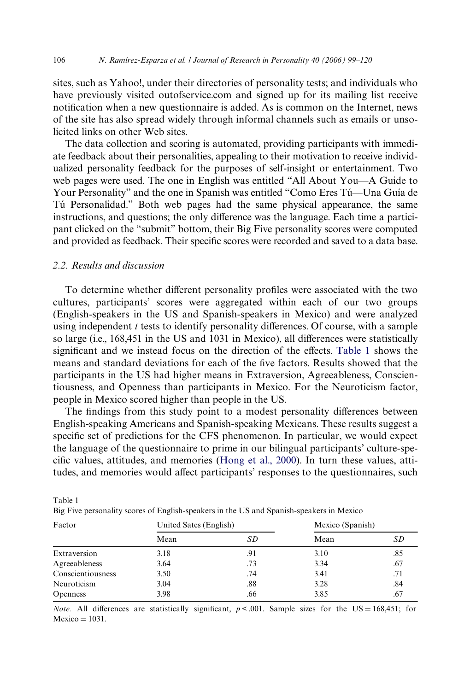sites, such as Yahoo!, under their directories of personality tests; and individuals who have previously visited outofservice.com and signed up for its mailing list receive notification when a new questionnaire is added. As is common on the Internet, news of the site has also spread widely through informal channels such as emails or unsolicited links on other Web sites.

The data collection and scoring is automated, providing participants with immediate feedback about their personalities, appealing to their motivation to receive individualized personality feedback for the purposes of self-insight or entertainment. Two web pages were used. The one in English was entitled "All About You—A Guide to Your Personality" and the one in Spanish was entitled "Como Eres Tú—Una Guía de Tú Personalidad." Both web pages had the same physical appearance, the same instructions, and questions; the only difference was the language. Each time a participant clicked on the "submit" bottom, their Big Five personality scores were computed and provided as feedback. Their specific scores were recorded and saved to a data base.

# *2.2. Results and discussion*

<span id="page-7-0"></span>Table 1

To determine whether different personality profiles were associated with the two cultures, participants' scores were aggregated within each of our two groups (English-speakers in the US and Spanish-speakers in Mexico) and were analyzed using independent  $t$  tests to identify personality differences. Of course, with a sample so large (i.e., 168,451 in the US and 1031 in Mexico), all differences were statistically significant and we instead focus on the direction of the effects. [Table 1](#page-7-0) shows the means and standard deviations for each of the five factors. Results showed that the participants in the US had higher means in Extraversion, Agreeableness, Conscientiousness, and Openness than participants in Mexico. For the Neuroticism factor, people in Mexico scored higher than people in the US.

The findings from this study point to a modest personality differences between English-speaking Americans and Spanish-speaking Mexicans. These results suggest a specific set of predictions for the CFS phenomenon. In particular, we would expect the language of the questionnaire to prime in our bilingual participants' culture-spe-cific values, attitudes, and memories [\(Hong et al., 2000](#page-20-2)). In turn these values, attitudes, and memories would affect participants' responses to the questionnaires, such

| Factor            | United Sates (English) |     | Mexico (Spanish) |     |
|-------------------|------------------------|-----|------------------|-----|
|                   | Mean                   | SD  | Mean             | SD  |
| Extraversion      | 3.18                   | .91 | 3.10             | .85 |
| Agreeableness     | 3.64                   | .73 | 3.34             | .67 |
| Conscientiousness | 3.50                   | .74 | 3.41             | .71 |
| Neuroticism       | 3.04                   | .88 | 3.28             | .84 |
| <b>Openness</b>   | 3.98                   | .66 | 3.85             | .67 |

Big Five personality scores of English-speakers in the US and Spanish-speakers in Mexico

*Note.* All differences are statistically significant,  $p < .001$ . Sample sizes for the US = 168,451; for  $Mexico = 1031.$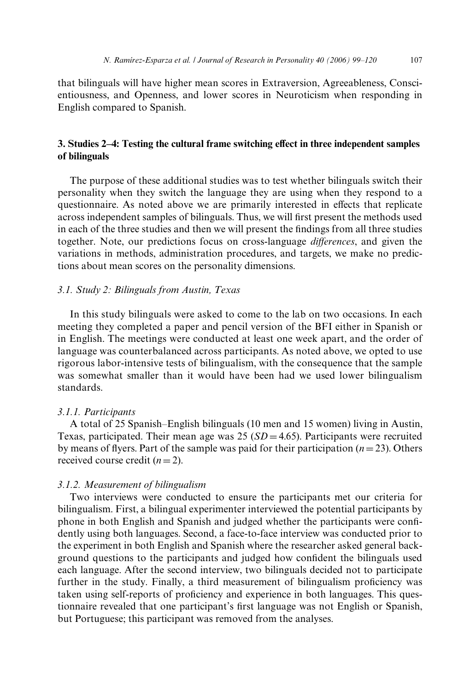that bilinguals will have higher mean scores in Extraversion, Agreeableness, Conscientiousness, and Openness, and lower scores in Neuroticism when responding in English compared to Spanish.

# **3. Studies 2–4: Testing the cultural frame switching effect in three independent samples of bilinguals**

The purpose of these additional studies was to test whether bilinguals switch their personality when they switch the language they are using when they respond to a questionnaire. As noted above we are primarily interested in effects that replicate across independent samples of bilinguals. Thus, we will first present the methods used in each of the three studies and then we will present the findings from all three studies together. Note, our predictions focus on cross-language *diVerences*, and given the variations in methods, administration procedures, and targets, we make no predictions about mean scores on the personality dimensions.

#### *3.1. Study 2: Bilinguals from Austin, Texas*

In this study bilinguals were asked to come to the lab on two occasions. In each meeting they completed a paper and pencil version of the BFI either in Spanish or in English. The meetings were conducted at least one week apart, and the order of language was counterbalanced across participants. As noted above, we opted to use rigorous labor-intensive tests of bilingualism, with the consequence that the sample was somewhat smaller than it would have been had we used lower bilingualism standards.

#### *3.1.1. Participants*

A total of 25 Spanish–English bilinguals (10 men and 15 women) living in Austin, Texas, participated. Their mean age was 25  $(SD = 4.65)$ . Participants were recruited by means of flyers. Part of the sample was paid for their participation  $(n=23)$ . Others received course credit  $(n=2)$ .

# *3.1.2. Measurement of bilingualism*

Two interviews were conducted to ensure the participants met our criteria for bilingualism. First, a bilingual experimenter interviewed the potential participants by phone in both English and Spanish and judged whether the participants were confidently using both languages. Second, a face-to-face interview was conducted prior to the experiment in both English and Spanish where the researcher asked general background questions to the participants and judged how confident the bilinguals used each language. After the second interview, two bilinguals decided not to participate further in the study. Finally, a third measurement of bilingualism proficiency was taken using self-reports of proficiency and experience in both languages. This questionnaire revealed that one participant's first language was not English or Spanish, but Portuguese; this participant was removed from the analyses.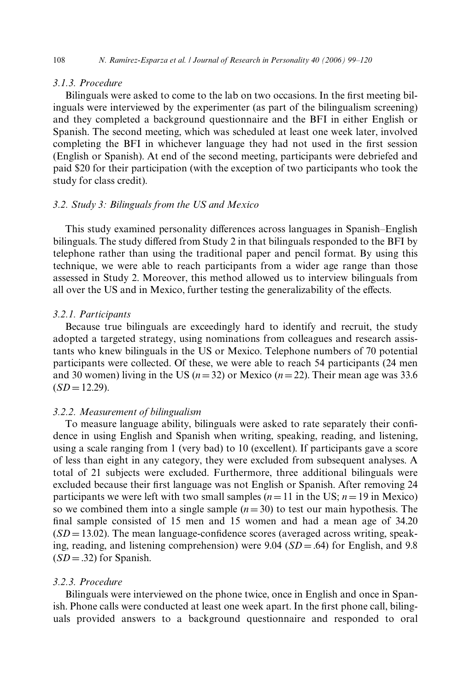# *3.1.3. Procedure*

Bilinguals were asked to come to the lab on two occasions. In the first meeting bilinguals were interviewed by the experimenter (as part of the bilingualism screening) and they completed a background questionnaire and the BFI in either English or Spanish. The second meeting, which was scheduled at least one week later, involved completing the BFI in whichever language they had not used in the first session (English or Spanish). At end of the second meeting, participants were debriefed and paid \$20 for their participation (with the exception of two participants who took the study for class credit).

# *3.2. Study 3: Bilinguals from the US and Mexico*

This study examined personality differences across languages in Spanish–English bilinguals. The study differed from Study 2 in that bilinguals responded to the BFI by telephone rather than using the traditional paper and pencil format. By using this technique, we were able to reach participants from a wider age range than those assessed in Study 2. Moreover, this method allowed us to interview bilinguals from all over the US and in Mexico, further testing the generalizability of the effects.

#### *3.2.1. Participants*

Because true bilinguals are exceedingly hard to identify and recruit, the study adopted a targeted strategy, using nominations from colleagues and research assistants who knew bilinguals in the US or Mexico. Telephone numbers of 70 potential participants were collected. Of these, we were able to reach 54 participants (24 men and 30 women) living in the US  $(n=32)$  or Mexico  $(n=22)$ . Their mean age was 33.6  $(SD = 12.29)$ .

#### *3.2.2. Measurement of bilingualism*

To measure language ability, bilinguals were asked to rate separately their confidence in using English and Spanish when writing, speaking, reading, and listening, using a scale ranging from 1 (very bad) to 10 (excellent). If participants gave a score of less than eight in any category, they were excluded from subsequent analyses. A total of 21 subjects were excluded. Furthermore, three additional bilinguals were excluded because their first language was not English or Spanish. After removing 24 participants we were left with two small samples  $(n=11$  in the US;  $n=19$  in Mexico) so we combined them into a single sample  $(n=30)$  to test our main hypothesis. The final sample consisted of 15 men and 15 women and had a mean age of  $34.20$  $(SD = 13.02)$ . The mean language-confidence scores (averaged across writing, speaking, reading, and listening comprehension) were  $9.04$  (*SD* = .64) for English, and 9.8  $(SD = .32)$  for Spanish.

# *3.2.3. Procedure*

Bilinguals were interviewed on the phone twice, once in English and once in Spanish. Phone calls were conducted at least one week apart. In the first phone call, bilinguals provided answers to a background questionnaire and responded to oral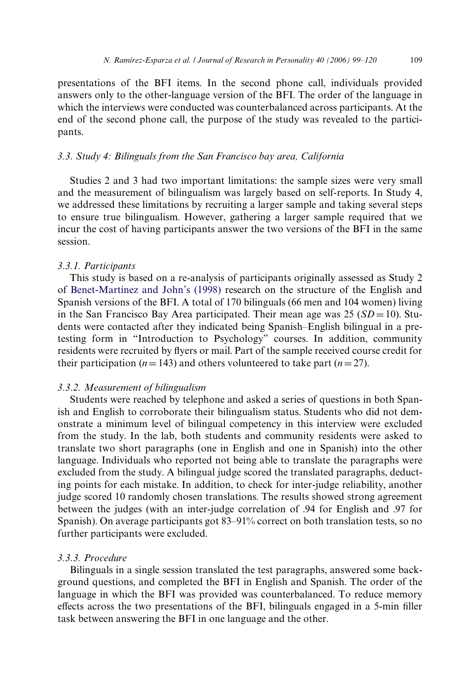presentations of the BFI items. In the second phone call, individuals provided answers only to the other-language version of the BFI. The order of the language in which the interviews were conducted was counterbalanced across participants. At the end of the second phone call, the purpose of the study was revealed to the participants.

#### *3.3. Study 4: Bilinguals from the San Francisco bay area, California*

Studies 2 and 3 had two important limitations: the sample sizes were very small and the measurement of bilingualism was largely based on self-reports. In Study 4, we addressed these limitations by recruiting a larger sample and taking several steps to ensure true bilingualism. However, gathering a larger sample required that we incur the cost of having participants answer the two versions of the BFI in the same session.

#### *3.3.1. Participants*

This study is based on a re-analysis of participants originally assessed as Study 2 of [Benet-Martínez and John's \(1998\)](#page-19-5) research on the structure of the English and Spanish versions of the BFI. A total of 170 bilinguals (66 men and 104 women) living in the San Francisco Bay Area participated. Their mean age was  $25 (SD = 10)$ . Students were contacted after they indicated being Spanish–English bilingual in a pretesting form in "Introduction to Psychology" courses. In addition, community residents were recruited by flyers or mail. Part of the sample received course credit for their participation ( $n=143$ ) and others volunteered to take part ( $n=27$ ).

#### *3.3.2. Measurement of bilingualism*

Students were reached by telephone and asked a series of questions in both Spanish and English to corroborate their bilingualism status. Students who did not demonstrate a minimum level of bilingual competency in this interview were excluded from the study. In the lab, both students and community residents were asked to translate two short paragraphs (one in English and one in Spanish) into the other language. Individuals who reported not being able to translate the paragraphs were excluded from the study. A bilingual judge scored the translated paragraphs, deducting points for each mistake. In addition, to check for inter-judge reliability, another judge scored 10 randomly chosen translations. The results showed strong agreement between the judges (with an inter-judge correlation of .94 for English and .97 for Spanish). On average participants got 83–91% correct on both translation tests, so no further participants were excluded.

# *3.3.3. Procedure*

Bilinguals in a single session translated the test paragraphs, answered some background questions, and completed the BFI in English and Spanish. The order of the language in which the BFI was provided was counterbalanced. To reduce memory effects across the two presentations of the BFI, bilinguals engaged in a 5-min filler task between answering the BFI in one language and the other.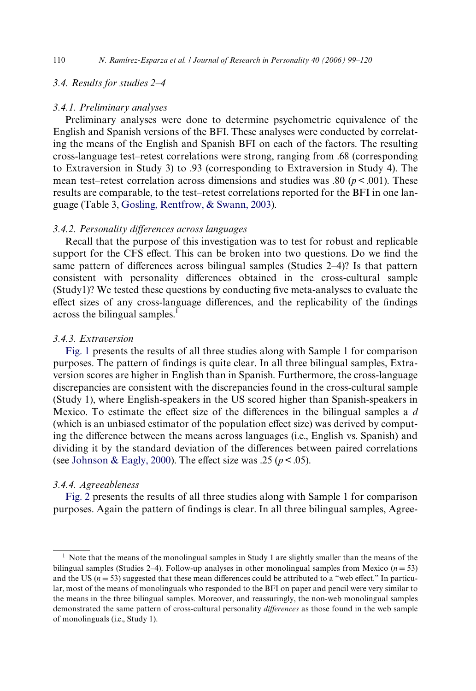# *3.4. Results for studies 2–4*

#### *3.4.1. Preliminary analyses*

Preliminary analyses were done to determine psychometric equivalence of the English and Spanish versions of the BFI. These analyses were conducted by correlating the means of the English and Spanish BFI on each of the factors. The resulting cross-language test–retest correlations were strong, ranging from .68 (corresponding to Extraversion in Study 3) to .93 (corresponding to Extraversion in Study 4). The mean test–retest correlation across dimensions and studies was .80 ( $p < .001$ ). These results are comparable, to the test–retest correlations reported for the BFI in one language (Table 3, [Gosling, Rentfrow, & Swann, 2003\)](#page-20-10).

#### *3.4.2. Personality diVerences across languages*

Recall that the purpose of this investigation was to test for robust and replicable support for the CFS effect. This can be broken into two questions. Do we find the same pattern of differences across bilingual samples (Studies  $2-4$ )? Is that pattern consistent with personality differences obtained in the cross-cultural sample  $(Study1)?$  We tested these questions by conducting five meta-analyses to evaluate the effect sizes of any cross-language differences, and the replicability of the findings across the bilingual samples. $<sup>1</sup>$ </sup>

#### *3.4.3. Extraversion*

[Fig. 1](#page-12-0) presents the results of all three studies along with Sample 1 for comparison purposes. The pattern of findings is quite clear. In all three bilingual samples, Extraversion scores are higher in English than in Spanish. Furthermore, the cross-language discrepancies are consistent with the discrepancies found in the cross-cultural sample (Study 1), where English-speakers in the US scored higher than Spanish-speakers in Mexico. To estimate the effect size of the differences in the bilingual samples a *d* (which is an unbiased estimator of the population effect size) was derived by computing the difference between the means across languages (i.e., English vs. Spanish) and dividing it by the standard deviation of the differences between paired correlations (see [Johnson & Eagly, 2000](#page-20-11)). The effect size was .25 ( $p < .05$ ).

# *3.4.4. Agreeableness*

[Fig. 2](#page-12-1) presents the results of all three studies along with Sample 1 for comparison purposes. Again the pattern of findings is clear. In all three bilingual samples, Agree-

<sup>&</sup>lt;sup>1</sup> Note that the means of the monolingual samples in Study 1 are slightly smaller than the means of the bilingual samples (Studies 2–4). Follow-up analyses in other monolingual samples from Mexico  $(n = 53)$ and the US ( $n = 53$ ) suggested that these mean differences could be attributed to a "web effect." In particular, most of the means of monolinguals who responded to the BFI on paper and pencil were very similar to the means in the three bilingual samples. Moreover, and reassuringly, the non-web monolingual samples demonstrated the same pattern of cross-cultural personality *diVerences* as those found in the web sample of monolinguals (i.e., Study 1).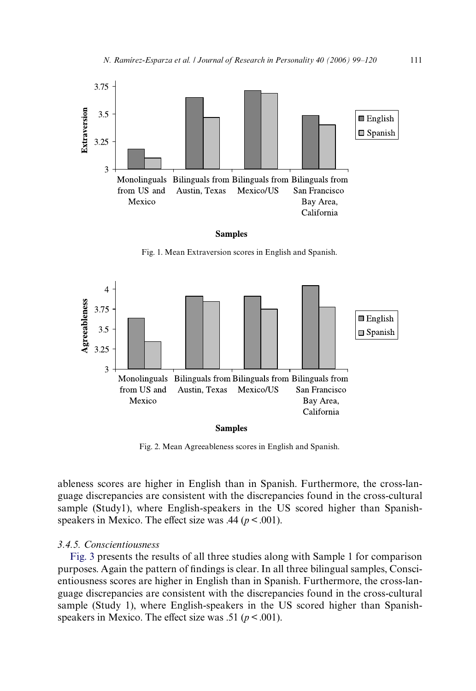

**Samples** 

Fig. 1. Mean Extraversion scores in English and Spanish.

<span id="page-12-0"></span>

Fig. 2. Mean Agreeableness scores in English and Spanish.

<span id="page-12-1"></span>ableness scores are higher in English than in Spanish. Furthermore, the cross-language discrepancies are consistent with the discrepancies found in the cross-cultural sample (Study1), where English-speakers in the US scored higher than Spanishspeakers in Mexico. The effect size was .44 ( $p < .001$ ).

### *3.4.5. Conscientiousness*

[Fig. 3](#page-13-0) presents the results of all three studies along with Sample 1 for comparison purposes. Again the pattern of findings is clear. In all three bilingual samples, Conscientiousness scores are higher in English than in Spanish. Furthermore, the cross-language discrepancies are consistent with the discrepancies found in the cross-cultural sample (Study 1), where English-speakers in the US scored higher than Spanishspeakers in Mexico. The effect size was .51 ( $p < .001$ ).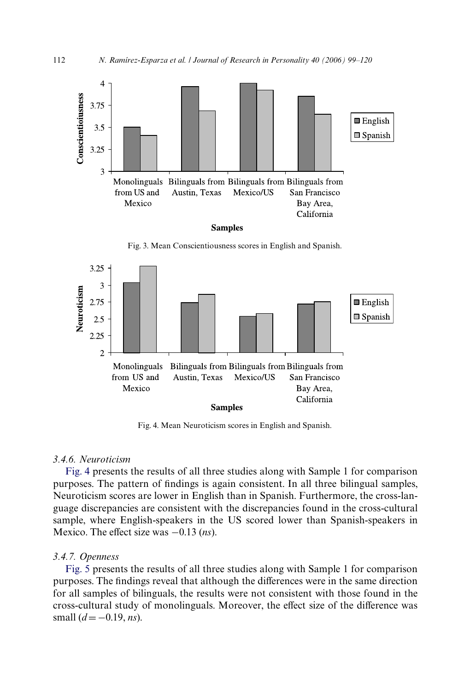

**Samples** 

Fig. 3. Mean Conscientiousness scores in English and Spanish.

<span id="page-13-0"></span>

Fig. 4. Mean Neuroticism scores in English and Spanish.

#### <span id="page-13-1"></span>*3.4.6. Neuroticism*

[Fig. 4](#page-13-1) presents the results of all three studies along with Sample 1 for comparison purposes. The pattern of findings is again consistent. In all three bilingual samples, Neuroticism scores are lower in English than in Spanish. Furthermore, the cross-language discrepancies are consistent with the discrepancies found in the cross-cultural sample, where English-speakers in the US scored lower than Spanish-speakers in Mexico. The effect size was  $-0.13$  (*ns*).

# *3.4.7. Openness*

[Fig. 5](#page-14-0) presents the results of all three studies along with Sample 1 for comparison purposes. The findings reveal that although the differences were in the same direction for all samples of bilinguals, the results were not consistent with those found in the cross-cultural study of monolinguals. Moreover, the effect size of the difference was small  $(d = -0.19, ns)$ .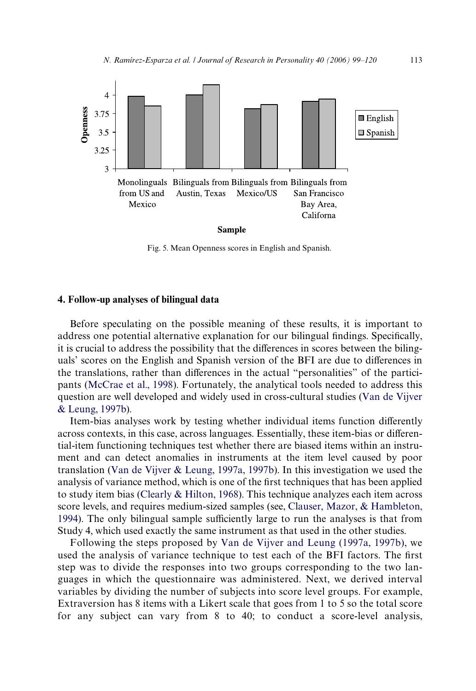

Fig. 5. Mean Openness scores in English and Spanish.

#### <span id="page-14-0"></span>**4. Follow-up analyses of bilingual data**

Before speculating on the possible meaning of these results, it is important to address one potential alternative explanation for our bilingual findings. Specifically, it is crucial to address the possibility that the differences in scores between the bilinguals' scores on the English and Spanish version of the BFI are due to differences in the translations, rather than differences in the actual "personalities" of the participants [\(McCrae et al., 1998](#page-21-1)). Fortunately, the analytical tools needed to address this question are well developed and widely used in cross-cultural studies [\(Van de Vijver](#page-21-7) [& Leung, 1997b](#page-21-7)).

Item-bias analyses work by testing whether individual items function differently across contexts, in this case, across languages. Essentially, these item-bias or differential-item functioning techniques test whether there are biased items within an instrument and can detect anomalies in instruments at the item level caused by poor translation [\(Van de Vijver & Leung, 1997a, 1997b\)](#page-21-8). In this investigation we used the analysis of variance method, which is one of the first techniques that has been applied to study item bias [\(Clearly & Hilton, 1968\)](#page-19-9). This technique analyzes each item across score levels, and requires medium-sized samples (see, [Clauser, Mazor, & Hambleton,](#page-19-10) [1994\)](#page-19-10). The only bilingual sample sufficiently large to run the analyses is that from Study 4, which used exactly the same instrument as that used in the other studies.

Following the steps proposed by [Van de Vijver and Leung \(1997a, 1997b\),](#page-21-8) we used the analysis of variance technique to test each of the BFI factors. The first step was to divide the responses into two groups corresponding to the two languages in which the questionnaire was administered. Next, we derived interval variables by dividing the number of subjects into score level groups. For example, Extraversion has 8 items with a Likert scale that goes from 1 to 5 so the total score for any subject can vary from 8 to 40; to conduct a score-level analysis,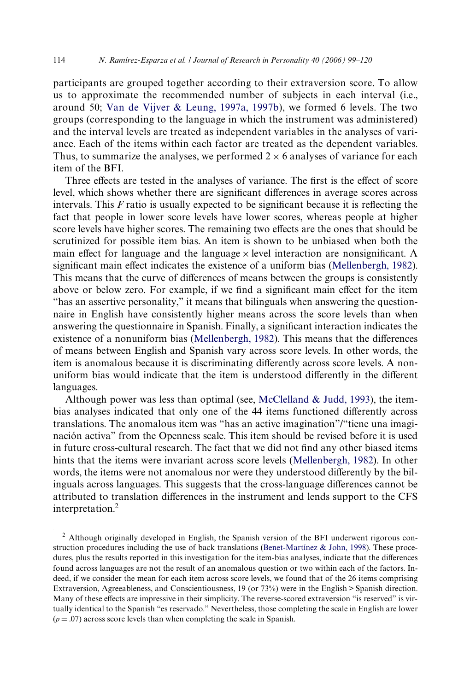participants are grouped together according to their extraversion score. To allow us to approximate the recommended number of subjects in each interval (i.e., around 50; [Van de Vijver & Leung, 1997a, 1997b](#page-21-8)), we formed 6 levels. The two groups (corresponding to the language in which the instrument was administered) and the interval levels are treated as independent variables in the analyses of variance. Each of the items within each factor are treated as the dependent variables. Thus, to summarize the analyses, we performed  $2 \times 6$  analyses of variance for each item of the BFI.

Three effects are tested in the analyses of variance. The first is the effect of score level, which shows whether there are significant differences in average scores across intervals. This  $F$  ratio is usually expected to be significant because it is reflecting the fact that people in lower score levels have lower scores, whereas people at higher score levels have higher scores. The remaining two effects are the ones that should be scrutinized for possible item bias. An item is shown to be unbiased when both the main effect for language and the language  $\times$  level interaction are nonsignificant. A significant main effect indicates the existence of a uniform bias ([Mellenbergh, 1982\)](#page-20-12). This means that the curve of differences of means between the groups is consistently above or below zero. For example, if we find a significant main effect for the item "has an assertive personality," it means that bilinguals when answering the questionnaire in English have consistently higher means across the score levels than when answering the questionnaire in Spanish. Finally, a significant interaction indicates the existence of a nonuniform bias ([Mellenbergh, 1982\)](#page-20-12). This means that the differences of means between English and Spanish vary across score levels. In other words, the item is anomalous because it is discriminating differently across score levels. A nonuniform bias would indicate that the item is understood differently in the different languages.

Although power was less than optimal (see, [McClelland & Judd, 1993](#page-21-9)), the itembias analyses indicated that only one of the 44 items functioned differently across translations. The anomalous item was "has an active imagination"/"tiene una imaginación activa" from the Openness scale. This item should be revised before it is used in future cross-cultural research. The fact that we did not find any other biased items hints that the items were invariant across score levels ([Mellenbergh, 1982](#page-20-12)). In other words, the items were not anomalous nor were they understood differently by the bilinguals across languages. This suggests that the cross-language differences cannot be attributed to translation differences in the instrument and lends support to the CFS interpretation.2

<sup>&</sup>lt;sup>2</sup> Although originally developed in English, the Spanish version of the BFI underwent rigorous construction procedures including the use of back translations [\(Benet-Martínez & John, 1998](#page-19-5)). These procedures, plus the results reported in this investigation for the item-bias analyses, indicate that the differences found across languages are not the result of an anomalous question or two within each of the factors. Indeed, if we consider the mean for each item across score levels, we found that of the 26 items comprising Extraversion, Agreeableness, and Conscientiousness, 19 (or 73%) were in the English > Spanish direction. Many of these effects are impressive in their simplicity. The reverse-scored extraversion "is reserved" is virtually identical to the Spanish "es reservado." Nevertheless, those completing the scale in English are lower  $(p = .07)$  across score levels than when completing the scale in Spanish.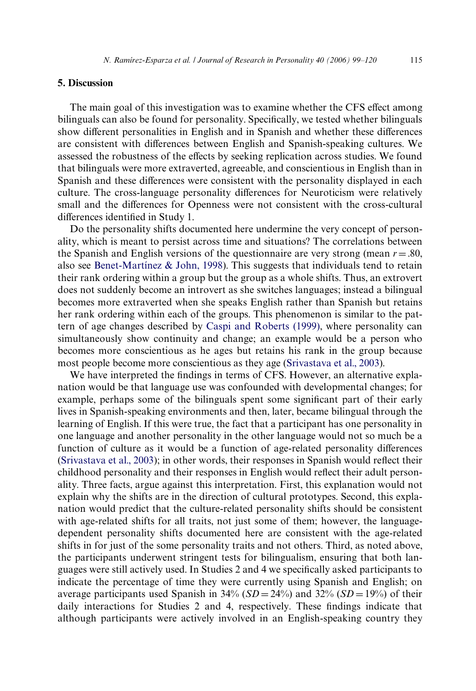# **5. Discussion**

The main goal of this investigation was to examine whether the CFS effect among bilinguals can also be found for personality. Specifically, we tested whether bilinguals show different personalities in English and in Spanish and whether these differences are consistent with differences between English and Spanish-speaking cultures. We assessed the robustness of the effects by seeking replication across studies. We found that bilinguals were more extraverted, agreeable, and conscientious in English than in Spanish and these differences were consistent with the personality displayed in each culture. The cross-language personality differences for Neuroticism were relatively small and the differences for Openness were not consistent with the cross-cultural differences identified in Study 1.

Do the personality shifts documented here undermine the very concept of personality, which is meant to persist across time and situations? The correlations between the Spanish and English versions of the questionnaire are very strong (mean  $r = .80$ , also see [Benet-Martínez & John, 1998](#page-19-5)). This suggests that individuals tend to retain their rank ordering within a group but the group as a whole shifts. Thus, an extrovert does not suddenly become an introvert as she switches languages; instead a bilingual becomes more extraverted when she speaks English rather than Spanish but retains her rank ordering within each of the groups. This phenomenon is similar to the pattern of age changes described by [Caspi and Roberts \(1999\),](#page-19-11) where personality can simultaneously show continuity and change; an example would be a person who becomes more conscientious as he ages but retains his rank in the group because most people become more conscientious as they age ([Srivastava et al., 2003](#page-21-6)).

We have interpreted the findings in terms of CFS. However, an alternative explanation would be that language use was confounded with developmental changes; for example, perhaps some of the bilinguals spent some significant part of their early lives in Spanish-speaking environments and then, later, became bilingual through the learning of English. If this were true, the fact that a participant has one personality in one language and another personality in the other language would not so much be a function of culture as it would be a function of age-related personality differences  $(Srivastava et al., 2003)$  $(Srivastava et al., 2003)$ ; in other words, their responses in Spanish would reflect their childhood personality and their responses in English would reflect their adult personality. Three facts, argue against this interpretation. First, this explanation would not explain why the shifts are in the direction of cultural prototypes. Second, this explanation would predict that the culture-related personality shifts should be consistent with age-related shifts for all traits, not just some of them; however, the languagedependent personality shifts documented here are consistent with the age-related shifts in for just of the some personality traits and not others. Third, as noted above, the participants underwent stringent tests for bilingualism, ensuring that both languages were still actively used. In Studies 2 and 4 we specifically asked participants to indicate the percentage of time they were currently using Spanish and English; on average participants used Spanish in  $34\%$  (*SD* =  $24\%$ ) and  $32\%$  (*SD* =  $19\%$ ) of their daily interactions for Studies 2 and 4, respectively. These findings indicate that although participants were actively involved in an English-speaking country they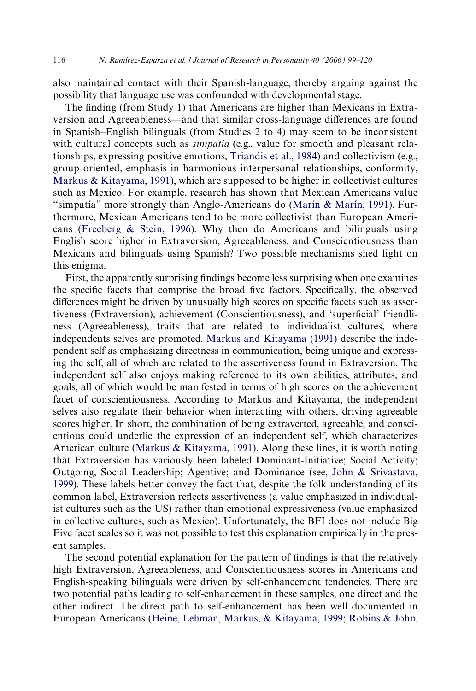also maintained contact with their Spanish-language, thereby arguing against the possibility that language use was confounded with developmental stage.

The finding (from Study 1) that Americans are higher than Mexicans in Extraversion and Agreeableness—and that similar cross-language differences are found in Spanish–English bilinguals (from Studies 2 to 4) may seem to be inconsistent with cultural concepts such as *simpatía* (e.g., value for smooth and pleasant relationships, expressing positive emotions, [Triandis et al., 1984\)](#page-21-5) and collectivism (e.g., group oriented, emphasis in harmonious interpersonal relationships, conformity, [Markus & Kitayama, 1991\)](#page-20-13), which are supposed to be higher in collectivist cultures such as Mexico. For example, research has shown that Mexican Americans value "simpatía" more strongly than Anglo-Americans do ([Marín & Marín, 1991\)](#page-20-7). Furthermore, Mexican Americans tend to be more collectivist than European Americans (Freeberg  $\&$  Stein, 1996). Why then do Americans and bilinguals using English score higher in Extraversion, Agreeableness, and Conscientiousness than Mexicans and bilinguals using Spanish? Two possible mechanisms shed light on this enigma.

First, the apparently surprising findings become less surprising when one examines the specific facets that comprise the broad five factors. Specifically, the observed differences might be driven by unusually high scores on specific facets such as assertiveness (Extraversion), achievement (Conscientiousness), and 'superficial' friendliness (Agreeableness), traits that are related to individualist cultures, where independents selves are promoted. [Markus and Kitayama \(1991\)](#page-20-13) describe the independent self as emphasizing directness in communication, being unique and expressing the self, all of which are related to the assertiveness found in Extraversion. The independent self also enjoys making reference to its own abilities, attributes, and goals, all of which would be manifested in terms of high scores on the achievement facet of conscientiousness. According to Markus and Kitayama, the independent selves also regulate their behavior when interacting with others, driving agreeable scores higher. In short, the combination of being extraverted, agreeable, and conscientious could underlie the expression of an independent self, which characterizes American culture [\(Markus & Kitayama, 1991\)](#page-20-13). Along these lines, it is worth noting that Extraversion has variously been labeled Dominant-Initiative; Social Activity; Outgoing, Social Leadership; Agentive; and Dominance (see, [John & Srivastava,](#page-20-15) [1999](#page-20-15)). These labels better convey the fact that, despite the folk understanding of its common label, Extraversion reflects assertiveness (a value emphasized in individualist cultures such as the US) rather than emotional expressiveness (value emphasized in collective cultures, such as Mexico). Unfortunately, the BFI does not include Big Five facet scales so it was not possible to test this explanation empirically in the present samples.

The second potential explanation for the pattern of findings is that the relatively high Extraversion, Agreeableness, and Conscientiousness scores in Americans and English-speaking bilinguals were driven by self-enhancement tendencies. There are two potential paths leading to self-enhancement in these samples, one direct and the other indirect. The direct path to self-enhancement has been well documented in European Americans [\(Heine, Lehman, Markus, & Kitayama, 1999; Robins & John,](#page-20-16)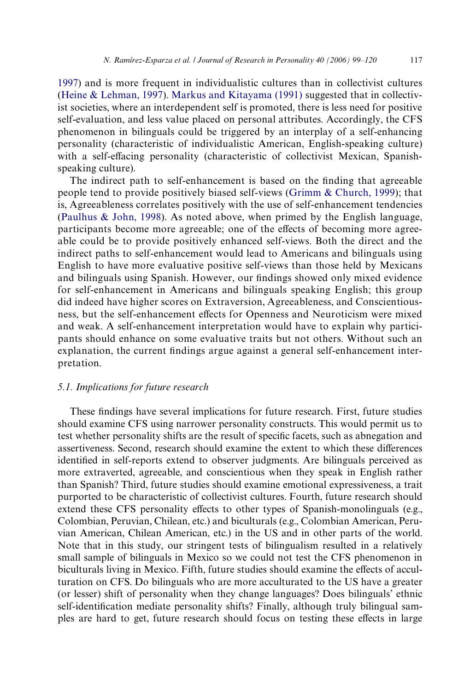[1997\)](#page-20-16) and is more frequent in individualistic cultures than in collectivist cultures [\(Heine & Lehman, 1997](#page-20-17)). [Markus and Kitayama \(1991\)](#page-20-13) suggested that in collectivist societies, where an interdependent self is promoted, there is less need for positive self-evaluation, and less value placed on personal attributes. Accordingly, the CFS phenomenon in bilinguals could be triggered by an interplay of a self-enhancing personality (characteristic of individualistic American, English-speaking culture) with a self-effacing personality (characteristic of collectivist Mexican, Spanishspeaking culture).

The indirect path to self-enhancement is based on the finding that agreeable people tend to provide positively biased self-views [\(Grimm & Church, 1999\)](#page-20-18); that is, Agreeableness correlates positively with the use of self-enhancement tendencies [\(Paulhus & John, 1998\)](#page-21-10). As noted above, when primed by the English language, participants become more agreeable; one of the effects of becoming more agreeable could be to provide positively enhanced self-views. Both the direct and the indirect paths to self-enhancement would lead to Americans and bilinguals using English to have more evaluative positive self-views than those held by Mexicans and bilinguals using Spanish. However, our findings showed only mixed evidence for self-enhancement in Americans and bilinguals speaking English; this group did indeed have higher scores on Extraversion, Agreeableness, and Conscientiousness, but the self-enhancement effects for Openness and Neuroticism were mixed and weak. A self-enhancement interpretation would have to explain why participants should enhance on some evaluative traits but not others. Without such an explanation, the current findings argue against a general self-enhancement interpretation.

#### *5.1. Implications for future research*

These findings have several implications for future research. First, future studies should examine CFS using narrower personality constructs. This would permit us to test whether personality shifts are the result of specific facets, such as abnegation and assertiveness. Second, research should examine the extent to which these differences identified in self-reports extend to observer judgments. Are bilinguals perceived as more extraverted, agreeable, and conscientious when they speak in English rather than Spanish? Third, future studies should examine emotional expressiveness, a trait purported to be characteristic of collectivist cultures. Fourth, future research should extend these CFS personality effects to other types of Spanish-monolinguals (e.g., Colombian, Peruvian, Chilean, etc.) and biculturals (e.g., Colombian American, Peruvian American, Chilean American, etc.) in the US and in other parts of the world. Note that in this study, our stringent tests of bilingualism resulted in a relatively small sample of bilinguals in Mexico so we could not test the CFS phenomenon in biculturals living in Mexico. Fifth, future studies should examine the effects of acculturation on CFS. Do bilinguals who are more acculturated to the US have a greater (or lesser) shift of personality when they change languages? Does bilinguals' ethnic self-identification mediate personality shifts? Finally, although truly bilingual samples are hard to get, future research should focus on testing these effects in large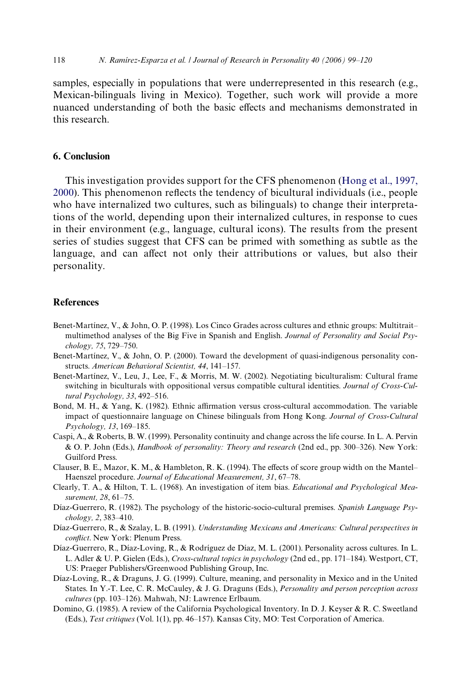samples, especially in populations that were underrepresented in this research (e.g., Mexican-bilinguals living in Mexico). Together, such work will provide a more nuanced understanding of both the basic effects and mechanisms demonstrated in this research.

# **6. Conclusion**

This investigation provides support for the CFS phenomenon [\(Hong et al., 1997,](#page-20-0) [2000](#page-20-0)). This phenomenon reflects the tendency of bicultural individuals (i.e., people who have internalized two cultures, such as bilinguals) to change their interpretations of the world, depending upon their internalized cultures, in response to cues in their environment (e.g., language, cultural icons). The results from the present series of studies suggest that CFS can be primed with something as subtle as the language, and can affect not only their attributions or values, but also their personality.

# **References**

- <span id="page-19-5"></span>Benet-Martínez, V., & John, O. P. (1998). Los Cinco Grades across cultures and ethnic groups: Multitrait– multimethod analyses of the Big Five in Spanish and English. *Journal of Personality and Social Psychology, 75*, 729–750.
- <span id="page-19-4"></span>Benet-Martínez, V., & John, O. P. (2000). Toward the development of quasi-indigenous personality constructs. *American Behavioral Scientist, 44*, 141–157.
- <span id="page-19-0"></span>Benet-Martínez, V., Leu, J., Lee, F., & Morris, M. W. (2002). Negotiating biculturalism: Cultural frame switching in biculturals with oppositional versus compatible cultural identities. *Journal of Cross-Cultural Psychology, 33*, 492–516.
- <span id="page-19-1"></span>Bond, M. H., & Yang, K. (1982). Ethnic affirmation versus cross-cultural accommodation. The variable impact of questionnaire language on Chinese bilinguals from Hong Kong. *Journal of Cross-Cultural Psychology, 13*, 169–185.
- <span id="page-19-11"></span>Caspi, A., & Roberts, B. W. (1999). Personality continuity and change across the life course. In L. A. Pervin & O. P. John (Eds.), *Handbook of personality: Theory and research* (2nd ed., pp. 300–326). New York: Guilford Press.
- <span id="page-19-10"></span>Clauser, B. E., Mazor, K. M.,  $\&$  Hambleton, R. K. (1994). The effects of score group width on the Mantel– Haenszel procedure. *Journal of Educational Measurement, 31*, 67–78.
- <span id="page-19-9"></span>Clearly, T. A., & Hilton, T. L. (1968). An investigation of item bias. *Educational and Psychological Measurement, 28*, 61–75.
- <span id="page-19-6"></span>Díaz-Guerrero, R. (1982). The psychology of the historic-socio-cultural premises. *Spanish Language Psychology, 2*, 383–410.
- <span id="page-19-2"></span>Díaz-Guerrero, R., & Szalay, L. B. (1991). *Understanding Mexicans and Americans: Cultural perspectives in conflict*. New York: Plenum Press.
- <span id="page-19-8"></span>Díaz-Guerrero, R., Díaz-Loving, R., & Rodríguez de Díaz, M. L. (2001). Personality across cultures. In L. L. Adler & U. P. Gielen (Eds.), *Cross-cultural topics in psychology* (2nd ed., pp. 171–184). Westport, CT, US: Praeger Publishers/Greenwood Publishing Group, Inc.
- <span id="page-19-7"></span>Díaz-Loving, R., & Draguns, J. G. (1999). Culture, meaning, and personality in Mexico and in the United States. In Y.-T. Lee, C. R. McCauley, & J. G. Draguns (Eds.), *Personality and person perception across cultures* (pp. 103–126). Mahwah, NJ: Lawrence Erlbaum.
- <span id="page-19-3"></span>Domino, G. (1985). A review of the California Psychological Inventory. In D. J. Keyser & R. C. Sweetland (Eds.), *Test critiques* (Vol. 1(1), pp. 46–157). Kansas City, MO: Test Corporation of America.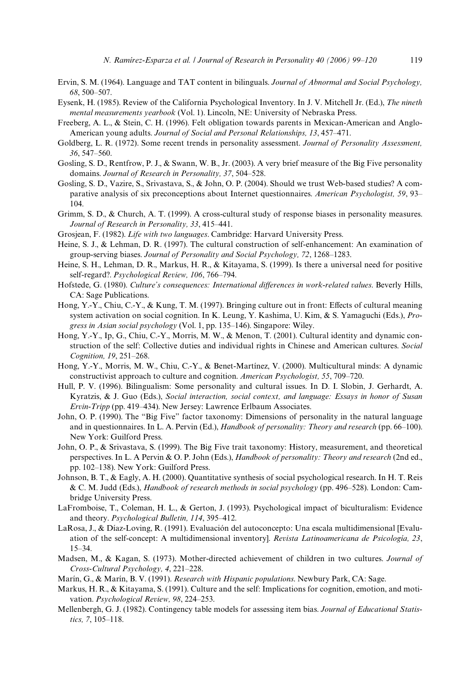- <span id="page-20-5"></span>Ervin, S. M. (1964). Language and TAT content in bilinguals. *Journal of Abnormal and Social Psychology, 68*, 500–507.
- Eysenk, H. (1985). Review of the California Psychological Inventory. In J. V. Mitchell Jr. (Ed.), *The nineth mental measurements yearbook* (Vol. 1). Lincoln, NE: University of Nebraska Press.
- <span id="page-20-14"></span>Freeberg, A. L., & Stein, C. H. (1996). Felt obligation towards parents in Mexican-American and Anglo-American young adults. *Journal of Social and Personal Relationships, 13*, 457–471.
- Goldberg, L. R. (1972). Some recent trends in personality assessment. *Journal of Personality Assessment, 36*, 547–560.
- <span id="page-20-10"></span>Gosling, S. D., Rentfrow, P. J., & Swann, W. B., Jr. (2003). A very brief measure of the Big Five personality domains. *Journal of Research in Personality, 37*, 504–528.
- <span id="page-20-9"></span>Gosling, S. D., Vazire, S., Srivastava, S., & John, O. P. (2004). Should we trust Web-based studies? A comparative analysis of six preconceptions about Internet questionnaires. *American Psychologist, 59*, 93– 104.
- <span id="page-20-18"></span>Grimm, S. D., & Church, A. T. (1999). A cross-cultural study of response biases in personality measures. *Journal of Research in Personality, 33*, 415–441.
- <span id="page-20-1"></span>Grosjean, F. (1982). *Life with two languages*. Cambridge: Harvard University Press.
- <span id="page-20-17"></span>Heine, S. J., & Lehman, D. R. (1997). The cultural construction of self-enhancement: An examination of group-serving biases. *Journal of Personality and Social Psychology, 72*, 1268–1283.
- <span id="page-20-16"></span>Heine, S. H., Lehman, D. R., Markus, H. R., & Kitayama, S. (1999). Is there a universal need for positive self-regard?. *Psychological Review, 106*, 766–794.
- Hofstede, G. (1980). *Culture's consequences: International differences in work-related values*. Beverly Hills, CA: Sage Publications.
- <span id="page-20-0"></span>Hong, Y.-Y., Chiu, C.-Y., & Kung, T. M. (1997). Bringing culture out in front: Effects of cultural meaning system activation on social cognition. In K. Leung, Y. Kashima, U. Kim, & S. Yamaguchi (Eds.), *Progress in Asian social psychology* (Vol. 1, pp. 135–146). Singapore: Wiley.
- <span id="page-20-3"></span>Hong, Y.-Y., Ip, G., Chiu, C.-Y., Morris, M. W., & Menon, T. (2001). Cultural identity and dynamic construction of the self: Collective duties and individual rights in Chinese and American cultures. *Social Cognition, 19*, 251–268.
- <span id="page-20-2"></span>Hong, Y.-Y., Morris, M. W., Chiu, C.-Y., & Benet-Martínez, V. (2000). Multicultural minds: A dynamic constructivist approach to culture and cognition. *American Psychologist, 55*, 709–720.
- <span id="page-20-6"></span>Hull, P. V. (1996). Bilingualism: Some personality and cultural issues. In D. I. Slobin, J. Gerhardt, A. Kyratzis, & J. Guo (Eds.), *Social interaction, social context, and language: Essays in honor of Susan Ervin-Tripp* (pp. 419–434). New Jersey: Lawrence Erlbaum Associates.
- <span id="page-20-8"></span>John, O. P. (1990). The "Big Five" factor taxonomy: Dimensions of personality in the natural language and in questionnaires. In L. A. Pervin (Ed.), *Handbook of personality: Theory and research* (pp. 66–100). New York: Guilford Press.
- <span id="page-20-15"></span>John, O. P., & Srivastava, S. (1999). The Big Five trait taxonomy: History, measurement, and theoretical perspectives. In L. A Pervin & O. P. John (Eds.), *Handbook of personality: Theory and research* (2nd ed., pp. 102–138). New York: Guilford Press.
- <span id="page-20-11"></span>Johnson, B. T., & Eagly, A. H. (2000). Quantitative synthesis of social psychological research. In H. T. Reis & C. M. Judd (Eds.), *Handbook of research methods in social psychology* (pp. 496–528). London: Cambridge University Press.
- <span id="page-20-4"></span>LaFromboise, T., Coleman, H. L., & Gerton, J. (1993). Psychological impact of biculturalism: Evidence and theory. *Psychological Bulletin, 114*, 395–412.
- LaRosa, J., & Díaz-Loving, R. (1991). Evaluación del autoconcepto: Una escala multidimensional [Evaluation of the self-concept: A multidimensional inventory]. *Revista Latinoamericana de Psicología, 23*, 15–34.
- Madsen, M., & Kagan, S. (1973). Mother-directed achievement of children in two cultures. *Journal of Cross-Cultural Psychology, 4*, 221–228.
- <span id="page-20-7"></span>Marín, G., & Marín, B. V. (1991). *Research with Hispanic populations*. Newbury Park, CA: Sage.
- <span id="page-20-13"></span>Markus, H. R., & Kitayama, S. (1991). Culture and the self: Implications for cognition, emotion, and motivation. *Psychological Review, 98*, 224–253.
- <span id="page-20-12"></span>Mellenbergh, G. J. (1982). Contingency table models for assessing item bias. *Journal of Educational Statistics, 7*, 105–118.